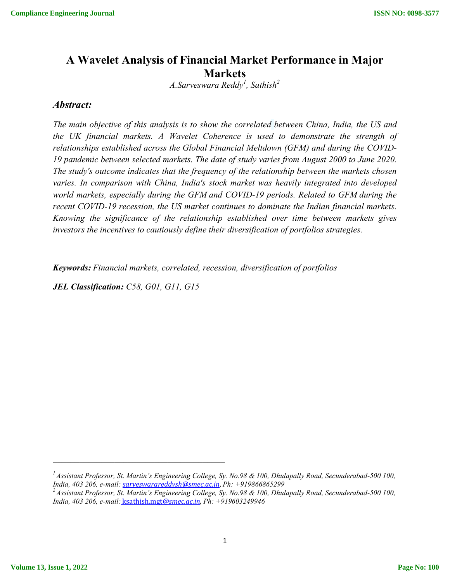# **A Wavelet Analysis of Financial Market Performance in Major Markets**

*A.Sarveswara Reddy1 , Sathish2*

## *Abstract:*

*The main objective of this analysis is to show the correlated between China, India, the US and the UK financial markets. A Wavelet Coherence is used to demonstrate the strength of relationships established across the Global Financial Meltdown (GFM) and during the COVID-19 pandemic between selected markets. The date of study varies from August 2000 to June 2020. The study's outcome indicates that the frequency of the relationship between the markets chosen varies. In comparison with China, India's stock market was heavily integrated into developed world markets, especially during the GFM and COVID-19 periods. Related to GFM during the recent COVID-19 recession, the US market continues to dominate the Indian financial markets. Knowing the significance of the relationship established over time between markets gives investors the incentives to cautiously define their diversification of portfolios strategies.*

*Keywords: Financial markets, correlated, recession, diversification of portfolios* 

*JEL Classification: C58, G01, G11, G15*

*<sup>1</sup> Assistant Professor, St. Martin's Engineering College, Sy. No.98 & 100, Dhulapally Road, Secunderabad-500 100,* 

*India, 403 206, e-mail: sarveswarareddysh@smec.ac.in*, *Ph: +919866865299 2 Assistant Professor, St. Martin's Engineering College, Sy. No.98 & 100, Dhulapally Road, Secunderabad-500 100, India, 403 206, e-mail:* ksathish.mgt*@smec.ac.in*, *Ph: +919603249946*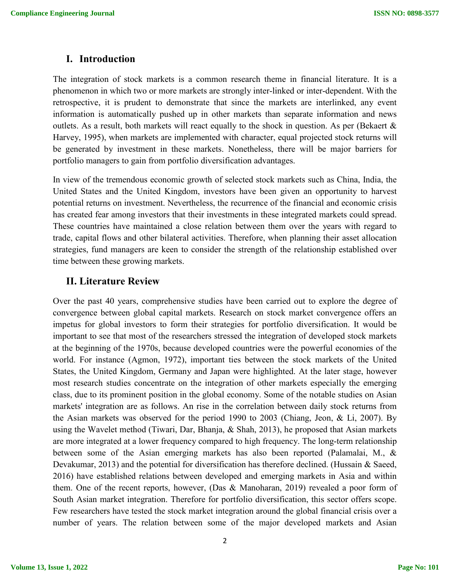#### **I. Introduction**

The integration of stock markets is a common research theme in financial literature. It is a phenomenon in which two or more markets are strongly inter-linked or inter-dependent. With the retrospective, it is prudent to demonstrate that since the markets are interlinked, any event information is automatically pushed up in other markets than separate information and news outlets. As a result, both markets will react equally to the shock in question. As per (Bekaert  $\&$ Harvey, 1995), when markets are implemented with character, equal projected stock returns will be generated by investment in these markets. Nonetheless, there will be major barriers for portfolio managers to gain from portfolio diversification advantages.

In view of the tremendous economic growth of selected stock markets such as China, India, the United States and the United Kingdom, investors have been given an opportunity to harvest potential returns on investment. Nevertheless, the recurrence of the financial and economic crisis has created fear among investors that their investments in these integrated markets could spread. These countries have maintained a close relation between them over the years with regard to trade, capital flows and other bilateral activities. Therefore, when planning their asset allocation strategies, fund managers are keen to consider the strength of the relationship established over time between these growing markets.

#### **II. Literature Review**

Over the past 40 years, comprehensive studies have been carried out to explore the degree of convergence between global capital markets. Research on stock market convergence offers an impetus for global investors to form their strategies for portfolio diversification. It would be important to see that most of the researchers stressed the integration of developed stock markets at the beginning of the 1970s, because developed countries were the powerful economies of the world. For instance (Agmon, 1972), important ties between the stock markets of the United States, the United Kingdom, Germany and Japan were highlighted. At the later stage, however most research studies concentrate on the integration of other markets especially the emerging class, due to its prominent position in the global economy. Some of the notable studies on Asian markets' integration are as follows. An rise in the correlation between daily stock returns from the Asian markets was observed for the period 1990 to 2003 (Chiang, Jeon, & Li, 2007). By using the Wavelet method (Tiwari, Dar, Bhanja, & Shah, 2013), he proposed that Asian markets are more integrated at a lower frequency compared to high frequency. The long-term relationship between some of the Asian emerging markets has also been reported (Palamalai, M., & Devakumar, 2013) and the potential for diversification has therefore declined. (Hussain & Saeed, 2016) have established relations between developed and emerging markets in Asia and within them. One of the recent reports, however, (Das & Manoharan, 2019) revealed a poor form of South Asian market integration. Therefore for portfolio diversification, this sector offers scope. Few researchers have tested the stock market integration around the global financial crisis over a number of years. The relation between some of the major developed markets and Asian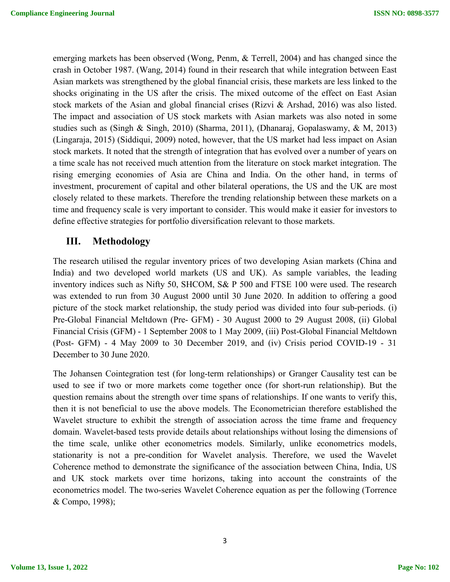emerging markets has been observed (Wong, Penm, & Terrell, 2004) and has changed since the crash in October 1987. (Wang, 2014) found in their research that while integration between East Asian markets was strengthened by the global financial crisis, these markets are less linked to the shocks originating in the US after the crisis. The mixed outcome of the effect on East Asian stock markets of the Asian and global financial crises (Rizvi & Arshad, 2016) was also listed. The impact and association of US stock markets with Asian markets was also noted in some studies such as (Singh & Singh, 2010) (Sharma, 2011), (Dhanaraj, Gopalaswamy, & M, 2013) (Lingaraja, 2015) (Siddiqui, 2009) noted, however, that the US market had less impact on Asian stock markets. It noted that the strength of integration that has evolved over a number of years on a time scale has not received much attention from the literature on stock market integration. The rising emerging economies of Asia are China and India. On the other hand, in terms of investment, procurement of capital and other bilateral operations, the US and the UK are most closely related to these markets. Therefore the trending relationship between these markets on a time and frequency scale is very important to consider. This would make it easier for investors to define effective strategies for portfolio diversification relevant to those markets.

# **III. Methodology**

The research utilised the regular inventory prices of two developing Asian markets (China and India) and two developed world markets (US and UK). As sample variables, the leading inventory indices such as Nifty 50, SHCOM, S& P 500 and FTSE 100 were used. The research was extended to run from 30 August 2000 until 30 June 2020. In addition to offering a good picture of the stock market relationship, the study period was divided into four sub-periods. (i) Pre-Global Financial Meltdown (Pre- GFM) - 30 August 2000 to 29 August 2008, (ii) Global Financial Crisis (GFM) - 1 September 2008 to 1 May 2009, (iii) Post-Global Financial Meltdown (Post- GFM) - 4 May 2009 to 30 December 2019, and (iv) Crisis period COVID-19 - 31 December to 30 June 2020.

The Johansen Cointegration test (for long-term relationships) or Granger Causality test can be used to see if two or more markets come together once (for short-run relationship). But the question remains about the strength over time spans of relationships. If one wants to verify this, then it is not beneficial to use the above models. The Econometrician therefore established the Wavelet structure to exhibit the strength of association across the time frame and frequency domain. Wavelet-based tests provide details about relationships without losing the dimensions of the time scale, unlike other econometrics models. Similarly, unlike econometrics models, stationarity is not a pre-condition for Wavelet analysis. Therefore, we used the Wavelet Coherence method to demonstrate the significance of the association between China, India, US and UK stock markets over time horizons, taking into account the constraints of the econometrics model. The two-series Wavelet Coherence equation as per the following (Torrence & Compo, 1998);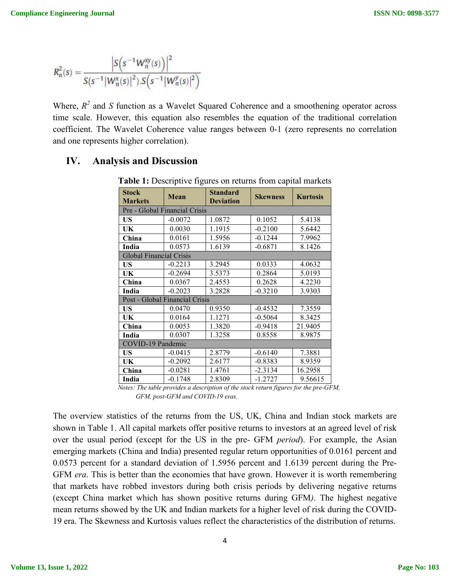$$
R_n^2(s) = \frac{\left|S\left(s^{-1}W_n^{xy}(s)\right)\right|^2}{S(s^{-1}|W_n^x(s)|^2)S\left(s^{-1}|W_n^y(s)|^2\right)}
$$

Where,  $R^2$  and  $S$  function as a Wavelet Squared Coherence and a smoothening operator across time scale. However, this equation also resembles the equation of the traditional correlation coefficient. The Wavelet Coherence value ranges between 0-1 (zero represents no correlation and one represents higher correlation).

# **IV. Analysis and Discussion**

| <b>Stock</b><br><b>Markets</b> | <b>Mean</b> | <b>Standard</b><br><b>Deviation</b> | <b>Skewness</b> | <b>Kurtosis</b> |  |  |
|--------------------------------|-------------|-------------------------------------|-----------------|-----------------|--|--|
| Pre - Global Financial Crisis  |             |                                     |                 |                 |  |  |
| <b>US</b>                      | $-0.0072$   | 1.0872                              | 0.1052          | 5.4138          |  |  |
| UK                             | 0.0030      | 1.1915                              | $-0.2100$       | 5.6442          |  |  |
| China                          | 0.0161      | 1.5956                              | $-0.1244$       | 7.9962          |  |  |
| India                          | 0.0573      | 1.6139                              | $-0.6871$       | 8.1426          |  |  |
| <b>Global Financial Crisis</b> |             |                                     |                 |                 |  |  |
| US                             | $-0.2213$   | 3.2945                              | 0.0333          | 4.0632          |  |  |
| UK                             | $-0.2694$   | 3.5373                              | 0.2864          | 5.0193          |  |  |
| China                          | 0.0367      | 2.4553                              | 0.2628          | 4.2230          |  |  |
| India                          | $-0.2023$   | 3.2828                              | $-0.3210$       | 3.9303          |  |  |
| Post - Global Financial Crisis |             |                                     |                 |                 |  |  |
| US                             | 0.0470      | 0.9350                              | $-0.4532$       | 7.3559          |  |  |
| UK                             | 0.0164      | 1.1271                              | $-0.5064$       | 8.3425          |  |  |
| China                          | 0.0053      | 1.3820                              | $-0.9418$       | 21.9405         |  |  |
| India                          | 0.0307      | 1.3258                              | 0.8558          | 8.9875          |  |  |
| COVID-19 Pandemic              |             |                                     |                 |                 |  |  |
| US                             | $-0.0415$   | 2.8779                              | $-0.6140$       | 7.3881          |  |  |
| UK                             | $-0.2092$   | 2.6177                              | $-0.8383$       | 8.9359          |  |  |
| China                          | $-0.0281$   | 1.4761                              | $-2.3134$       | 16.2958         |  |  |
| India                          | $-0.1748$   | 2.8309                              | $-1.2727$       | 9.56615         |  |  |

**Table 1:** Descriptive figures on returns from capital markets

 *Notes: The table provides a description of the stock return figures for the pre-GFM, GFM, post-GFM and COVID-19 eras.*

The overview statistics of the returns from the US, UK, China and Indian stock markets are shown in Table 1. All capital markets offer positive returns to investors at an agreed level of risk over the usual period (except for the US in the pre- GFM *period*). For example, the Asian emerging markets (China and India) presented regular return opportunities of 0.0161 percent and 0.0573 percent for a standard deviation of 1.5956 percent and 1.6139 percent during the Pre-GFM *era*. This is better than the economies that have grown. However it is worth remembering that markets have robbed investors during both crisis periods by delivering negative returns (except China market which has shown positive returns during GFM*)*. The highest negative mean returns showed by the UK and Indian markets for a higher level of risk during the COVID-19 era. The Skewness and Kurtosis values reflect the characteristics of the distribution of returns.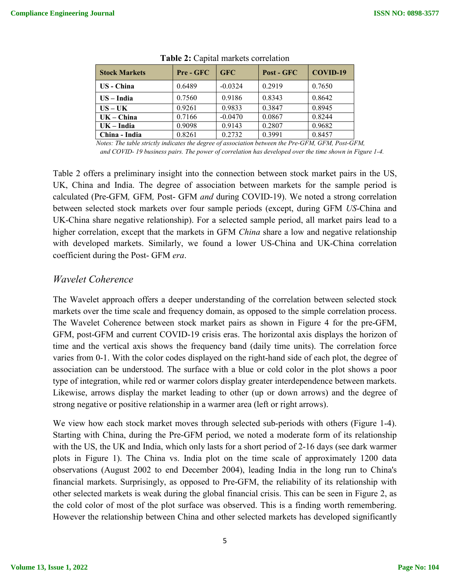| <b>Stock Markets</b> | Pre - GFC | <b>GFC</b> | Post - GFC | COVID-19 |
|----------------------|-----------|------------|------------|----------|
| US - China           | 0.6489    | $-0.0324$  | 0.2919     | 0.7650   |
| $US - India$         | 0.7560    | 0.9186     | 0.8343     | 0.8642   |
| $US - UK$            | 0.9261    | 0.9833     | 0.3847     | 0.8945   |
| $UK - China$         | 0.7166    | $-0.0470$  | 0.0867     | 0.8244   |
| $UK - India$         | 0.9098    | 0.9143     | 0.2807     | 0.9682   |
| China - India        | 0.8261    | 0.2732     | 0.3991     | 0.8457   |

**Table 2:** Capital markets correlation

 *Notes: The table strictly indicates the degree of association between the Pre-GFM, GFM, Post-GFM, and COVID- 19 business pairs. The power of correlation has developed over the time shown in Figure 1-4.*

Table 2 offers a preliminary insight into the connection between stock market pairs in the US, UK, China and India. The degree of association between markets for the sample period is calculated (Pre-GFM*,* GFM*,* Post- GFM *and* during COVID-19). We noted a strong correlation between selected stock markets over four sample periods (except, during GFM *US*-China and UK-China share negative relationship). For a selected sample period, all market pairs lead to a higher correlation, except that the markets in GFM *China* share a low and negative relationship with developed markets. Similarly, we found a lower US-China and UK-China correlation coefficient during the Post- GFM *era*.

# *Wavelet Coherence*

The Wavelet approach offers a deeper understanding of the correlation between selected stock markets over the time scale and frequency domain, as opposed to the simple correlation process. The Wavelet Coherence between stock market pairs as shown in Figure 4 for the pre-GFM, GFM, post-GFM and current COVID-19 crisis eras. The horizontal axis displays the horizon of time and the vertical axis shows the frequency band (daily time units). The correlation force varies from 0-1. With the color codes displayed on the right-hand side of each plot, the degree of association can be understood. The surface with a blue or cold color in the plot shows a poor type of integration, while red or warmer colors display greater interdependence between markets. Likewise, arrows display the market leading to other (up or down arrows) and the degree of strong negative or positive relationship in a warmer area (left or right arrows).

We view how each stock market moves through selected sub-periods with others (Figure 1-4). Starting with China, during the Pre-GFM period, we noted a moderate form of its relationship with the US, the UK and India, which only lasts for a short period of 2-16 days (see dark warmer plots in Figure 1). The China vs. India plot on the time scale of approximately 1200 data observations (August 2002 to end December 2004), leading India in the long run to China's financial markets. Surprisingly, as opposed to Pre-GFM, the reliability of its relationship with other selected markets is weak during the global financial crisis. This can be seen in Figure 2, as the cold color of most of the plot surface was observed. This is a finding worth remembering. However the relationship between China and other selected markets has developed significantly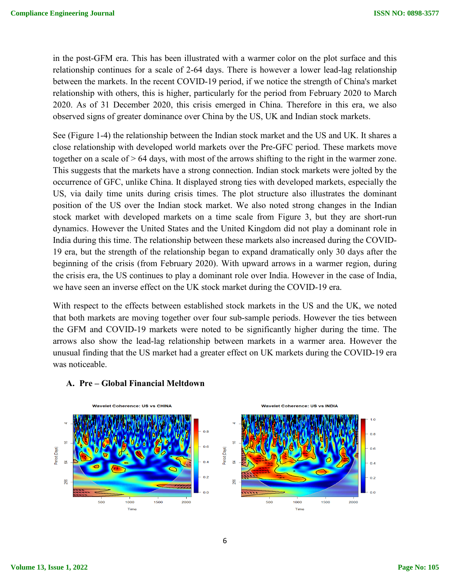in the post-GFM era. This has been illustrated with a warmer color on the plot surface and this relationship continues for a scale of 2-64 days. There is however a lower lead-lag relationship between the markets. In the recent COVID-19 period, if we notice the strength of China's market relationship with others, this is higher, particularly for the period from February 2020 to March 2020. As of 31 December 2020, this crisis emerged in China. Therefore in this era, we also observed signs of greater dominance over China by the US, UK and Indian stock markets.

See (Figure 1-4) the relationship between the Indian stock market and the US and UK. It shares a close relationship with developed world markets over the Pre-GFC period. These markets move together on a scale of > 64 days, with most of the arrows shifting to the right in the warmer zone. This suggests that the markets have a strong connection. Indian stock markets were jolted by the occurrence of GFC, unlike China. It displayed strong ties with developed markets, especially the US, via daily time units during crisis times. The plot structure also illustrates the dominant position of the US over the Indian stock market. We also noted strong changes in the Indian stock market with developed markets on a time scale from Figure 3, but they are short-run dynamics. However the United States and the United Kingdom did not play a dominant role in India during this time. The relationship between these markets also increased during the COVID-19 era, but the strength of the relationship began to expand dramatically only 30 days after the beginning of the crisis (from February 2020). With upward arrows in a warmer region, during the crisis era, the US continues to play a dominant role over India. However in the case of India, we have seen an inverse effect on the UK stock market during the COVID-19 era.

With respect to the effects between established stock markets in the US and the UK, we noted that both markets are moving together over four sub-sample periods. However the ties between the GFM and COVID-19 markets were noted to be significantly higher during the time. The arrows also show the lead-lag relationship between markets in a warmer area. However the unusual finding that the US market had a greater effect on UK markets during the COVID-19 era was noticeable.



#### **A. Pre – Global Financial Meltdown**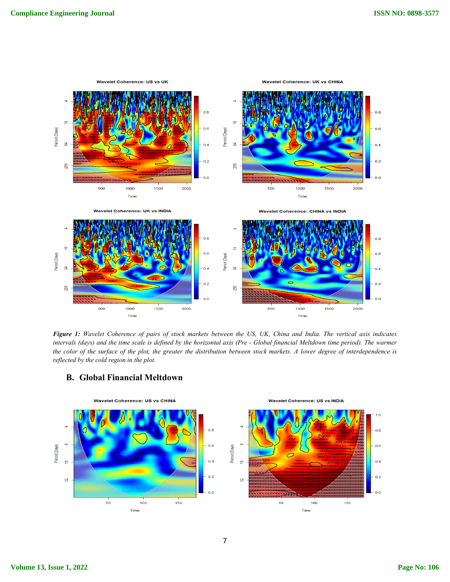

*Figure 1: Wavelet Coherence of pairs of stock markets between the US, UK, China and India. The vertical axis indicates intervals (days) and the time scale is defined by the horizontal axis (Pre - Global financial Meltdown time period). The warmer the color of the surface of the plot, the greater the distribution between stock markets. A lower degree of interdependence is reflected by the cold region in the plot.*



#### **B. Global Financial Meltdown**

#### 7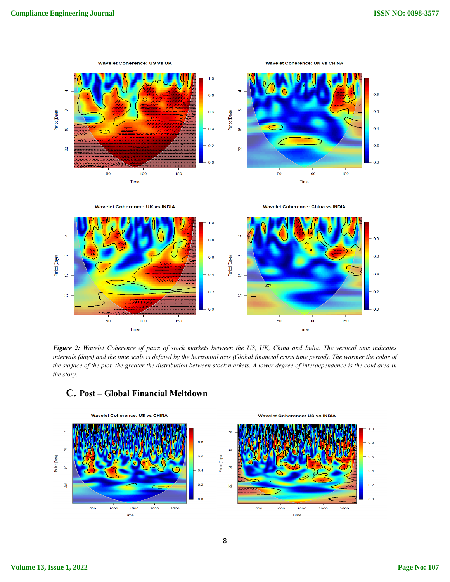

**Wavelet Coherence: UK vs INDIA** 

**Wavelet Coherence: China vs INDIA** 



*Figure 2: Wavelet Coherence of pairs of stock markets between the US, UK, China and India. The vertical axis indicates intervals (days) and the time scale is defined by the horizontal axis (Global financial crisis time period). The warmer the color of the surface of the plot, the greater the distribution between stock markets. A lower degree of interdependence is the cold area in the story.*



## **C. Post – Global Financial Meltdown**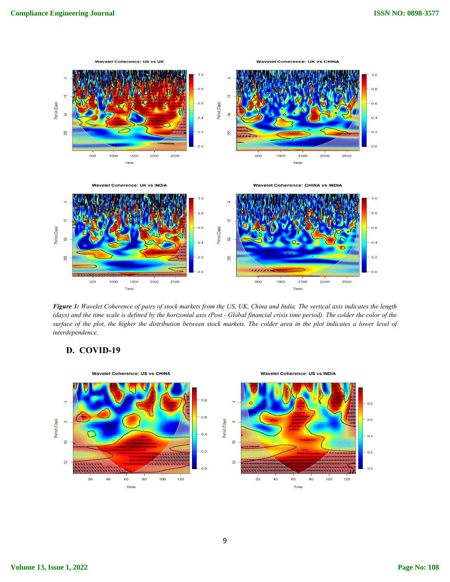

*Figure 3: Wavelet Coherence of pairs of stock markets from the US, UK, China and India. The vertical axis indicates the length (days) and the time scale is defined by the horizontal axis (Post - Global financial crisis time period). The colder the color of the surface of the plot, the higher the distribution between stock markets. The colder area in the plot indicates a lower level of interdependence.*



#### **D. COVID-19**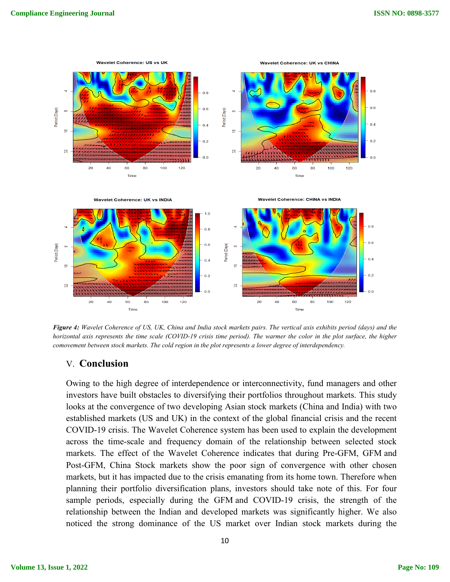

*Figure 4: Wavelet Coherence of US, UK, China and India stock markets pairs. The vertical axis exhibits period (days) and the horizontal axis represents the time scale (COVID-19 crisis time period). The warmer the color in the plot surface, the higher comovement between stock markets. The cold region in the plot represents a lower degree of interdependency.* 

## V. **Conclusion**

Owing to the high degree of interdependence or interconnectivity, fund managers and other investors have built obstacles to diversifying their portfolios throughout markets. This study looks at the convergence of two developing Asian stock markets (China and India) with two established markets (US and UK) in the context of the global financial crisis and the recent COVID-19 crisis. The Wavelet Coherence system has been used to explain the development across the time-scale and frequency domain of the relationship between selected stock markets. The effect of the Wavelet Coherence indicates that during Pre-GFM, GFM and Post-GFM, China Stock markets show the poor sign of convergence with other chosen markets, but it has impacted due to the crisis emanating from its home town. Therefore when planning their portfolio diversification plans, investors should take note of this. For four sample periods, especially during the GFM and COVID-19 crisis, the strength of the relationship between the Indian and developed markets was significantly higher. We also noticed the strong dominance of the US market over Indian stock markets during the